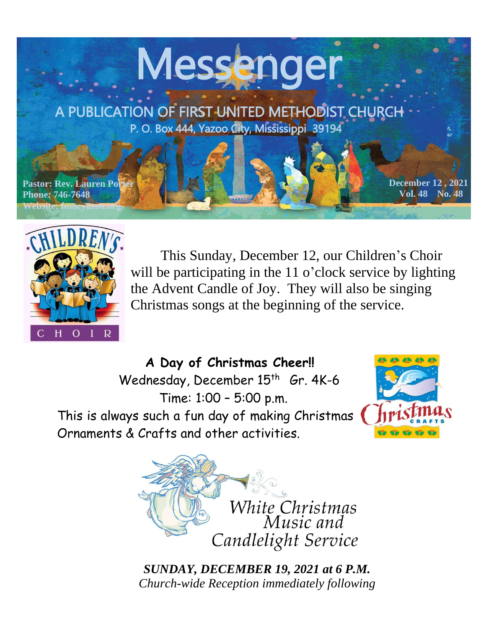



 This Sunday, December 12, our Children's Choir will be participating in the 11 o'clock service by lighting the Advent Candle of Joy. They will also be singing Christmas songs at the beginning of the service.

 **A Day of Christmas Cheer!!** Wednesday, December 15<sup>th</sup> Gr. 4K-6 Time: 1:00 – 5:00 p.m. This is always such a fun day of making Christmas Ornaments & Crafts and other activities.





*SUNDAY, DECEMBER 19, 2021 at 6 P.M. Church-wide Reception immediately following*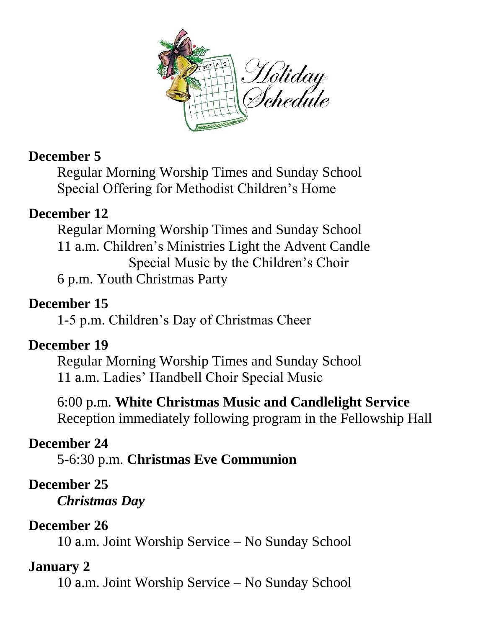

# **December 5**

Regular Morning Worship Times and Sunday School Special Offering for Methodist Children's Home

# **December 12**

Regular Morning Worship Times and Sunday School 11 a.m. Children's Ministries Light the Advent Candle Special Music by the Children's Choir 6 p.m. Youth Christmas Party

# **December 15**

1-5 p.m. Children's Day of Christmas Cheer

# **December 19**

Regular Morning Worship Times and Sunday School 11 a.m. Ladies' Handbell Choir Special Music

6:00 p.m. **White Christmas Music and Candlelight Service** Reception immediately following program in the Fellowship Hall

# **December 24**

5-6:30 p.m. **Christmas Eve Communion**

# **December 25**

*Christmas Day*

# **December 26**

10 a.m. Joint Worship Service – No Sunday School

# **January 2**

10 a.m. Joint Worship Service – No Sunday School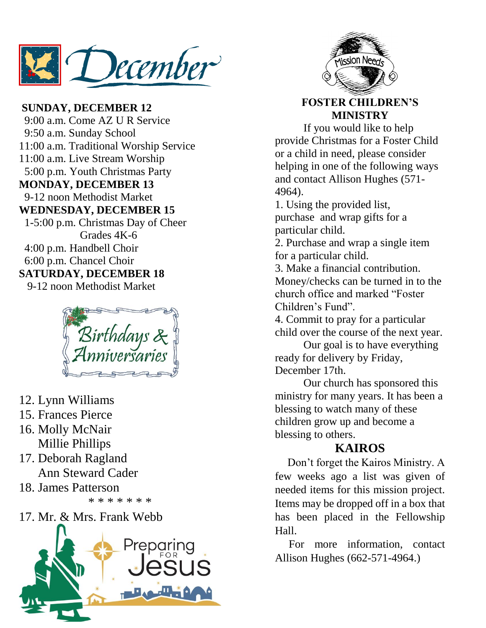December

**SUNDAY, DECEMBER 12** 9:00 a.m. Come AZ U R Service 9:50 a.m. Sunday School 11:00 a.m. Traditional Worship Service 11:00 a.m. Live Stream Worship 5:00 p.m. Youth Christmas Party **MONDAY, DECEMBER 13** 9-12 noon Methodist Market **WEDNESDAY, DECEMBER 15** 1-5:00 p.m. Christmas Day of Cheer Grades 4K-6 4:00 p.m. Handbell Choir 6:00 p.m. Chancel Choir **SATURDAY, DECEMBER 18** 9-12 noon Methodist Market



- 12. Lynn Williams
- 15. Frances Pierce
- 16. Molly McNair Millie Phillips
- 17. Deborah Ragland Ann Steward Cader
- 18. James Patterson \* \* \* \* \* \* \*
- 17. Mr. & Mrs. Frank Webb





#### **FOSTER CHILDREN'S MINISTRY**

If you would like to help provide Christmas for a Foster Child or a child in need, please consider helping in one of the following ways and contact Allison Hughes (571- 4964).

1. Using the provided list, purchase and wrap gifts for a particular child.

2. Purchase and wrap a single item for a particular child.

3. Make a financial contribution. Money/checks can be turned in to the church office and marked "Foster Children's Fund".

4. Commit to pray for a particular child over the course of the next year.

Our goal is to have everything ready for delivery by Friday, December 17th.

Our church has sponsored this ministry for many years. It has been a blessing to watch many of these children grow up and become a blessing to others.

#### **KAIROS**

 Don't forget the Kairos Ministry. A few weeks ago a list was given of needed items for this mission project. Items may be dropped off in a box that has been placed in the Fellowship Hall.

 For more information, contact Allison Hughes (662-571-4964.)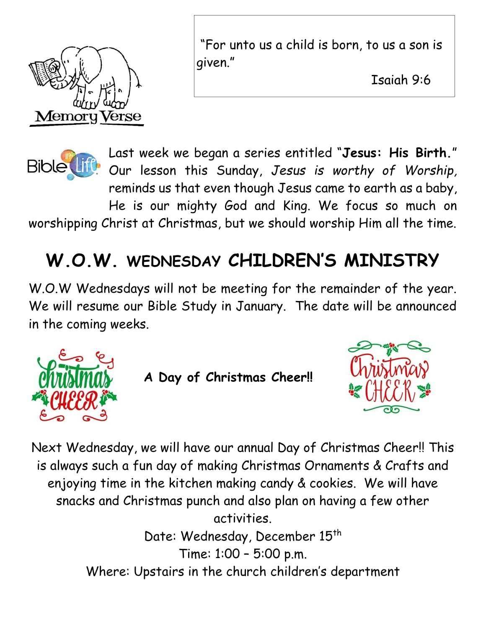

"For unto us a child is born, to us a son is given."

Isaiah 9:6

<u>April 11, 2021</u>



Last week we began a series entitled "**Jesus: His Birth.**" Our lesson this Sunday, *Jesus is worthy of Worship,*  reminds us that even though Jesus came to earth as a baby, He is our mighty God and King. We focus so much on worshipping Christ at Christmas, but we should worship Him all the time.

# **W.O.W. WEDNESDAY CHILDREN'S MINISTRY**

W.O.W Wednesdays will not be meeting for the remainder of the year. We will resume our Bible Study in January. The date will be announced in the coming weeks.



**A Day of Christmas Cheer!!**



Next Wednesday, we will have our annual Day of Christmas Cheer!! This is always such a fun day of making Christmas Ornaments & Crafts and enjoying time in the kitchen making candy & cookies. We will have snacks and Christmas punch and also plan on having a few other activities. Date: Wednesday, December 15<sup>th</sup> Time: 1:00 – 5:00 p.m.

Where: Upstairs in the church children's department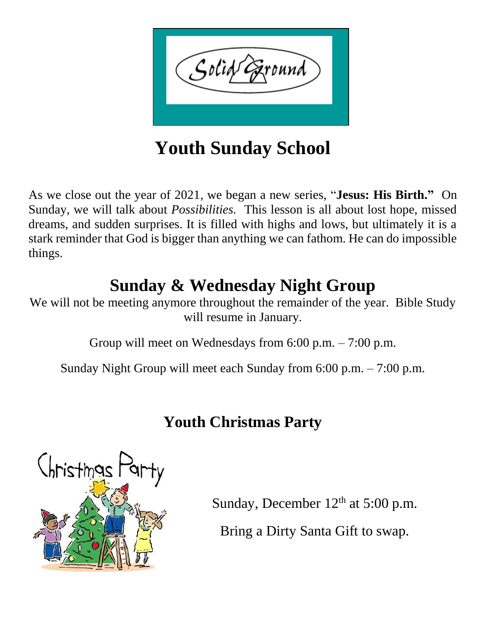

**Youth Sunday School**

As we close out the year of 2021, we began a new series, "**Jesus: His Birth."** On Sunday, we will talk about *Possibilities.* This lesson is all about lost hope, missed dreams, and sudden surprises. It is filled with highs and lows, but ultimately it is a stark reminder that God is bigger than anything we can fathom. He can do impossible things.

# **Sunday & Wednesday Night Group**

We will not be meeting anymore throughout the remainder of the year. Bible Study will resume in January.

Group will meet on Wednesdays from 6:00 p.m. – 7:00 p.m.

Sunday Night Group will meet each Sunday from 6:00 p.m. – 7:00 p.m.

# **Youth Christmas Party**



Sunday, December  $12<sup>th</sup>$  at 5:00 p.m.

Bring a Dirty Santa Gift to swap.